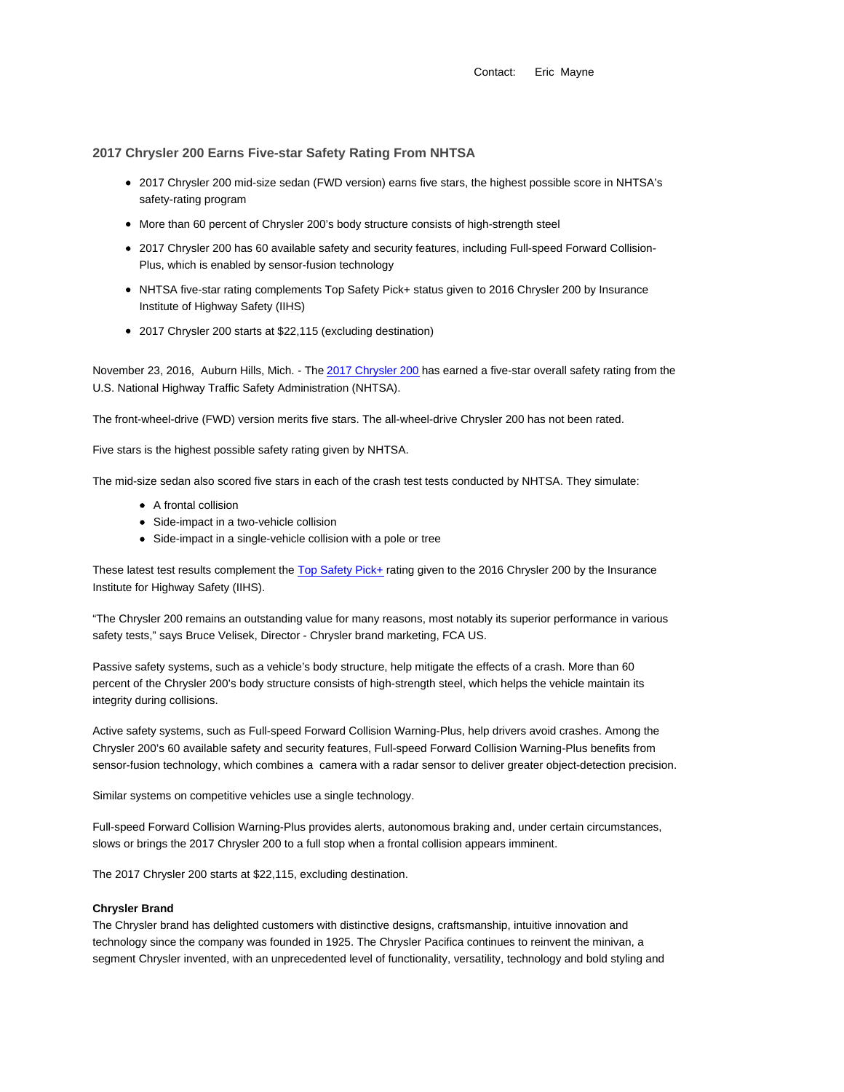Contact: Eric Mayne

## **2017 Chrysler 200 Earns Five-star Safety Rating From NHTSA**

- 2017 Chrysler 200 mid-size sedan (FWD version) earns five stars, the highest possible score in NHTSA's safety-rating program
- More than 60 percent of Chrysler 200's body structure consists of high-strength steel
- 2017 Chrysler 200 has 60 available safety and security features, including Full-speed Forward Collision-Plus, which is enabled by sensor-fusion technology
- NHTSA five-star rating complements Top Safety Pick+ status given to 2016 Chrysler 200 by Insurance Institute of Highway Safety (IIHS)
- 2017 Chrysler 200 starts at \$22,115 (excluding destination)

November 23, 2016, Auburn Hills, Mich. - The 2017 Chrysler 200 has earned a five-star overall safety rating from the U.S. National Highway Traffic Safety Administration (NHTSA).

The front-wheel-drive (FWD) version merits five stars. The all-wheel-drive Chrysler 200 has not been rated.

Five stars is the highest possible safety rating given by NHTSA.

The mid-size sedan also scored five stars in each of the crash test tests conducted by NHTSA. They simulate:

- A frontal collision
- Side-impact in a two-vehicle collision
- Side-impact in a single-vehicle collision with a pole or tree

These latest test results complement the Top Safety Pick+ rating given to the 2016 Chrysler 200 by the Insurance Institute for Highway Safety (IIHS).

"The Chrysler 200 remains an outstanding value for many reasons, most notably its superior performance in various safety tests," says Bruce Velisek, Director - Chrysler brand marketing, FCA US.

Passive safety systems, such as a vehicle's body structure, help mitigate the effects of a crash. More than 60 percent of the Chrysler 200's body structure consists of high-strength steel, which helps the vehicle maintain its integrity during collisions.

Active safety systems, such as Full-speed Forward Collision Warning-Plus, help drivers avoid crashes. Among the Chrysler 200's 60 available safety and security features, Full-speed Forward Collision Warning-Plus benefits from sensor-fusion technology, which combines a camera with a radar sensor to deliver greater object-detection precision.

Similar systems on competitive vehicles use a single technology.

Full-speed Forward Collision Warning-Plus provides alerts, autonomous braking and, under certain circumstances, slows or brings the 2017 Chrysler 200 to a full stop when a frontal collision appears imminent.

The 2017 Chrysler 200 starts at \$22,115, excluding destination.

## **Chrysler Brand**

The Chrysler brand has delighted customers with distinctive designs, craftsmanship, intuitive innovation and technology since the company was founded in 1925. The Chrysler Pacifica continues to reinvent the minivan, a segment Chrysler invented, with an unprecedented level of functionality, versatility, technology and bold styling and